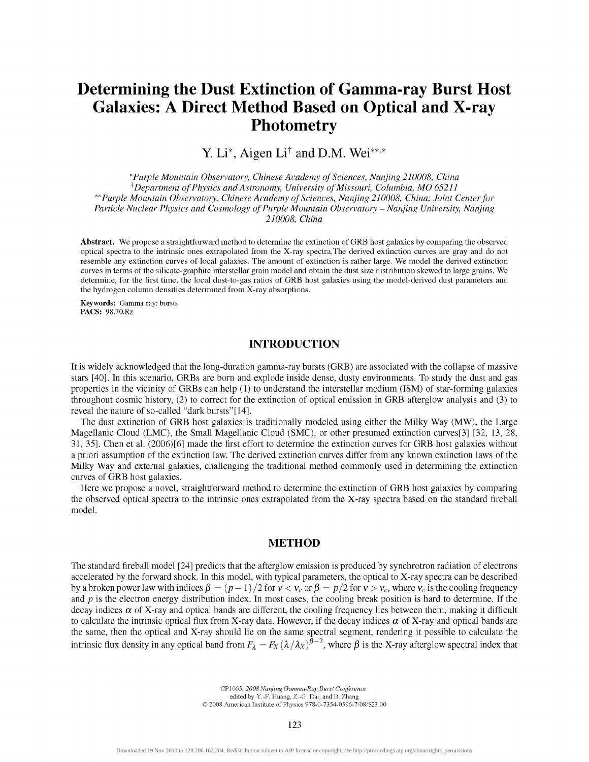# Determining the Dust Extinction of Gamma-ray Burst Host Galaxies: A Direct Method Based on Optical and X-ray Photometry

Y. Li\*, Aigen  $Li^{\dagger}$  and D.M. Wei\*\*\*

*\*Purple Mountain Observatory, Chinese Academy of Sciences, Nanjing 210008, China ^Department of Physics and Astronomy, University of Missouri, Columbia, MO 65211 "Purple Mountain Observatory, Chinese Academy of Sciences, Nanjing 210008, China; Joint Center for Particle Nuclear Physics and Cosmology of Purple Mountain Observatory - Nanjing University, Nanjing 210008, China* 

**Abstract.** We propose a straightforward method to determine the extinction of GRB host galaxies by comparing the observed optical spectra to the intrinsic ones extrapolated from the X-ray spectra.The derived extinction curves are gray and do not resemble any extinction curves of local galaxies. The amount of extinction is rather large. We model the derived extinction curves in terms of the silicate-graphite interstellar grain model and obtain the dust size distribution skewed to large grains. We determine, for the first time, the local dust-to-gas ratios of GRB host galaxies using the model-derived dust parameters and the hydrogen column densities determined from X-ray absorptions.

**Keywords:** Gamma-ray: bursts **PACS:** [98.70.Rz](http://98.70.Rz)

## INTRODUCTION

It is widely acknowledged that the long-duration gamma-ray bursts (GRB) are associated with the collapse of massive stars [40]. In this scenario, GRBs are born and explode inside dense, dusty environments. To study the dust and gas properties in the vicinity of GRBs can help (1) to understand the interstellar medium (ISM) of star-forming galaxies throughout cosmic history, (2) to correct for the extinction of optical emission in GRB afterglow analysis and (3) to reveal the nature of so-called "dark bursts"[14].

The dust extinction of GRB host galaxies is traditionally modeled using either the Milky Way (MW), the Large Magellanic Cloud (LMC), the Small Magellanic Cloud (SMC), or other presumed extinction curves[3] [32, 13, 28, 31, 35]. Chen et al. (2006)[6] made the first effort to determine the extinction curves for GRB host galaxies without a priori assumption of the extinction law. The derived extinction curves differ from any known extinction laws of the Milky Way and external galaxies, challenging the traditional method commonly used in determining the extinction curves of GRB host galaxies.

Here we propose a novel, straightforward method to determine the extinction of GRB host galaxies by comparing the observed optical spectra to the intrinsic ones extrapolated from the X-ray spectra based on the standard fireball model.

## METHOD

The standard fireball model [24] predicts that the afterglow emission is produced by synchrotron radiation of electrons accelerated by the forward shock. In this model, with typical parameters, the optical to X-ray spectra can be described by a broken power law with indices  $\beta = (p - 1)/2$  for  $v < v_c$  or  $\beta = p/2$  for  $v > v_c$ , where  $v_c$  is the cooling frequency and *p* is the electron energy distribution index. In most cases, the cooling break position is hard to determine. If the decay indices  $\alpha$  of X-ray and optical bands are different, the cooling frequency lies between them, making it difficult to calculate the intrinsic optical flux from X-ray data. However, if the decay indices  $\alpha$  of X-ray and optical bands are the same, then the optical and X-ray should lie on the same spectral segment, rendering it possible to calculate the intrinsic flux density in any optical band from  $F_2 = F_X(\lambda/\lambda_X)^{\beta-2}$ , where  $\beta$  is the X-ray afterglow spectral index that

> CPl 065, *2008 Nanjing Gamma-Ray Burst Conference*  edited by Y.-F. Huang, Z.-G. Dai, and B. Zhang  $©$  2008 American Institute of Physics 978-0-7354-0596-7/08/\$23.00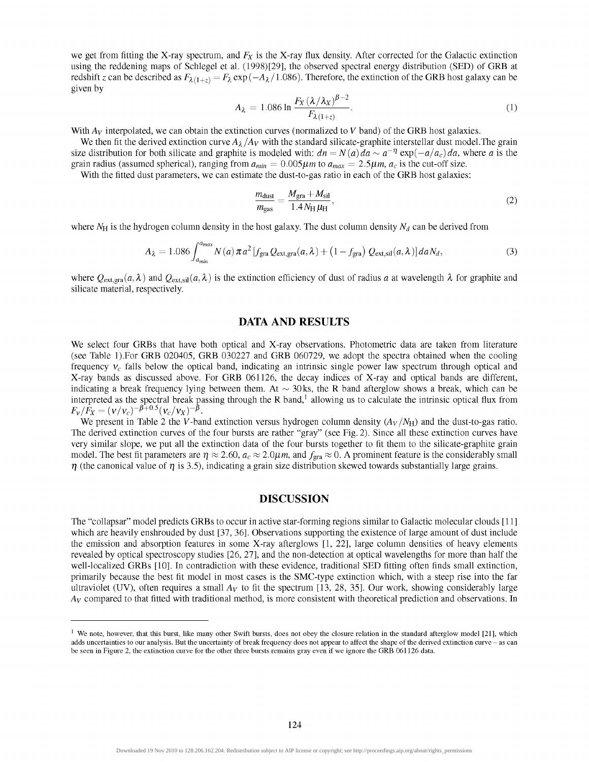we get from fitting the X-ray spectrum, and  $F_X$  is the X-ray flux density. After corrected for the Galactic extinction using the reddening maps of Schlegel et al. (1998)[29], the observed spectral energy distribution (SED) of GRB at redshift z can be described as  $F_{\lambda(1+z)} = F_{\lambda} \exp(-A_{\lambda}/1.086)$ . Therefore, the extinction of the GRB host galaxy can be given by

$$
A_{\lambda} = 1.086 \ln \frac{F_X \left(\lambda/\lambda_X\right)^{\beta - 2}}{F_{\lambda(1 + z)}}.
$$
\n<sup>(1)</sup>

With  $A_V$  interpolated, we can obtain the extinction curves (normalized to *V* band) of the GRB host galaxies.

We then fit the derived extinction curve  $A_{\lambda}/A_V$  with the standard silicate-graphite interstellar dust model. The grain size distribution for both silicate and graphite is modeled with:  $dn = N(a)da \sim a^{-\eta} \exp(-a/a_c)da$ , where *a* is the grain radius (assumed spherical), ranging from  $a_{min} = 0.005\mu m$  to  $a_{max} = 2.5\mu m$ ,  $a_c$  is the cut-off size.

With the fitted dust parameters, we can estimate the dust-to-gas ratio in each of the GRB host galaxies:

$$
\frac{m_{\text{dust}}}{m_{\text{gas}}} = \frac{M_{\text{gra}} + M_{\text{sil}}}{1.4 N_{\text{H}} \mu_{\text{H}}},\tag{2}
$$

where  $N_H$  is the hydrogen column density in the host galaxy. The dust column density  $N_d$  can be derived from

$$
A_{\lambda} = 1.086 \int_{a_{min}}^{a_{max}} N(a) \pi a^2 \left[ f_{\text{gra}} Q_{\text{ext,gra}}(a,\lambda) + \left( 1 - f_{\text{gra}} \right) Q_{\text{ext,sil}}(a,\lambda) \right] da N_d, \tag{3}
$$

where  $Q_{\text{ext,gra}}(a,\lambda)$  and  $Q_{\text{ext,sil}}(a,\lambda)$  is the extinction efficiency of dust of radius a at wavelength  $\lambda$  for graphite and silicate material, respectively.

### DATA AND RESULTS

We select four GRBs that have both optical and X-ray observations. Photometric data are taken from literature (see Table 1). For GRB 020405, GRB 030227 and GRB 060729, we adopt the spectra obtained when the cooling frequency  $v_c$  falls below the optical band, indicating an intrinsic single power law spectrum through optical and X-ray bands as discussed above. For GRB 061126, the decay indices of X-ray and optical bands are different, indicating a break frequency lying between them. At  $\sim$  30 ks, the R band afterglow shows a break, which can be interpreted as the spectral break passing through the R band,<sup>1</sup> allowing us to calculate the intrinsic optical flux from  $F_v/F_x = (v/v_c)^{-\beta+0.5}(v_c/v_x)^{-\beta}$ .

We present in Table 2 the V-band extinction versus hydrogen column density  $(A_V/N_H)$  and the dust-to-gas ratio. The derived extinction curves of the four bursts are rather "gray" (see Fig. 2). Since all these extinction curves have very similar slope, we put all the extinction data of the four bursts together to fit them to the silicate-graphite grain model. The best fit parameters are  $\eta \approx 2.60$ ,  $a_c \approx 2.0 \mu m$ , and  $f_{\text{gra}} \approx 0$ . A prominent feature is the considerably small  $\eta$  (the canonical value of  $\eta$  is 3.5), indicating a grain size distribution skewed towards substantially large grains.

## DISCUSSION

The "collapsar" model predicts GRBs to occur in active star-forming regions similar to Galactic molecular clouds [11] which are heavily enshrouded by dust [37, 36]. Observations supporting the existence of large amount of dust include the emission and absorption features in some X-ray afterglows [1, 22], large column densities of heavy elements revealed by optical spectroscopy studies [26, 27], and the non-detection at optical wavelengths for more than half the well-localized GRBs [10]. In contradiction with these evidence, traditional SED fitting often finds small extinction, primarily because the best fit model in most cases is the SMC-type extinction which, with a steep rise into the far ultraviolet (UV), often requires a small  $A_V$  to fit the spectrum [13, 28, 35]. Our work, showing considerably large *Av* compared to that fitted with traditional method, is more consistent with theoretical prediction and observations. In

<sup>&</sup>lt;sup>1</sup> We note, however, that this burst, like many other Swift bursts, does not obey the closure relation in the standard afterglow model [21], which adds uncertainties to our analysis. But the uncertainty of break frequency does not appear to affect the shape of the derived extinction curve - as can be seen in Figure 2, the extinction curve for the other three bursts remains gray even if we ignore the GRB 061126 data.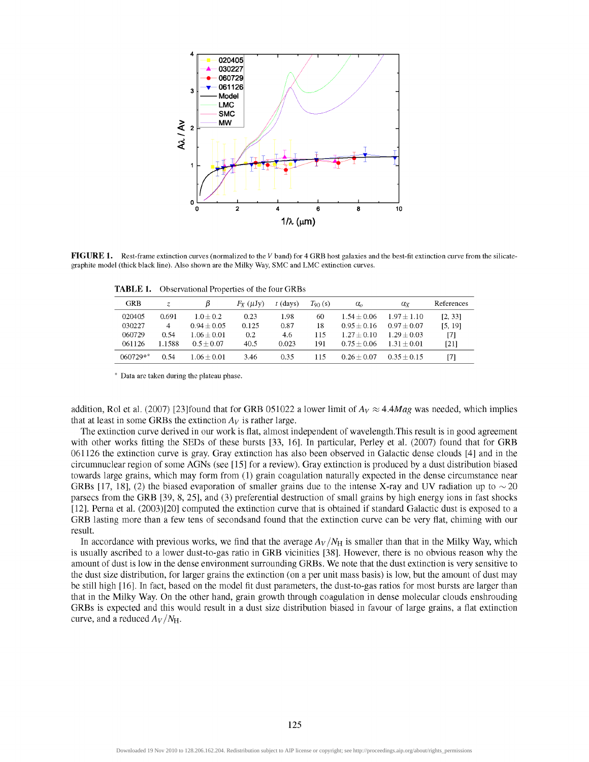

FIGURE 1. Rest-frame extinction curves (normalized to the V band) for 4 GRB host galaxies and the best-fit extinction curve from the silicategraphite model (thick black line). Also shown are the Milky Way, SMC and LMC extinction curves.

**TABLE 1.** Observational Properties of the four GRBs

| <b>GRB</b> | Z.     |               | $F_X(\mu J_V)$ | $t$ (davs) | $T_{90}$ (s) | $\alpha_{\circ}$ | αx            | References |
|------------|--------|---------------|----------------|------------|--------------|------------------|---------------|------------|
| 020405     | 0.691  | $10+02$       | 0.23           | 1.98       | 60           | $1.54 + 0.06$    | $1.97 + 1.10$ | [2, 33]    |
| 030227     | 4      | $0.94 + 0.05$ | 0.125          | 0.87       | 18           | $0.95 + 0.16$    | $0.97 + 0.07$ | [5, 19]    |
| 060729     | 0.54   | $1.06 + 0.01$ | 0.2            | 4.6        | 115          | $1.27 + 0.10$    | $1.29 + 0.03$ | [7]        |
| 061126     | 1.1588 | $0.5 + 0.07$  | 40.5           | 0.023      | 191          | $0.75 + 0.06$    | $1.31 + 0.01$ | [21]       |
| $060729**$ | 0.54   | $1.06 + 0.01$ | 3.46           | 0.35       | 115          | $0.26 + 0.07$    | $0.35 + 0.15$ | [7]        |

\* Data are taken during the plateau phase.

addition, Rol et al. (2007) [23]found that for GRB 051022 a lower limit of  $A_V \approx 4.4 Mag$  was needed, which implies that at least in some GRBs the extinction *Ay* is rather large.

The extinction curve derived in our work is flat, almost independent of wavelength.This result is in good agreement with other works fitting the SEDs of these bursts [33, 16]. In particular, Perley et al. (2007) found that for GRB 061126 the extinction curve is gray. Gray extinction has also been observed in Galactic dense clouds [4] and in the circumnuclear region of some AGNs (see [15] for a review). Gray extinction is produced by a dust distribution biased towards large grains, which may form from (1) grain coagulation naturally expected in the dense circumstance near GRBs [17, 18], (2) the biased evaporation of smaller grains due to the intense X-ray and UV radiation up to  $\sim$  20 parsecs from the GRB [39, 8, 25], and (3) preferential destruction of small grains by high energy ions in fast shocks [12]. Perna et al. (2003)[20] computed the extinction curve that is obtained if standard Galactic dust is exposed to a GRB lasting more than a few tens of secondsand found that the extinction curve can be very flat, chiming with our result.

In accordance with previous works, we find that the average  $A_V/N_H$  is smaller than that in the Milky Way, which is usually ascribed to a lower dust-to-gas ratio in GRB vicinities [38]. However, there is no obvious reason why the amount of dust is low in the dense environment surrounding GRBs. We note that the dust extinction is very sensitive to the dust size distribution, for larger grains the extinction (on a per unit mass basis) is low, but the amount of dust may be still high [16]. In fact, based on the model fit dust parameters, the dust-to-gas ratios for most bursts are larger than that in the Milky Way. On the other hand, grain growth through coagulation in dense molecular clouds enshrouding GRBs is expected and this would result in a dust size distribution biased in favour of large grains, a flat extinction curve, and a reduced  $A_V/N_H$ .